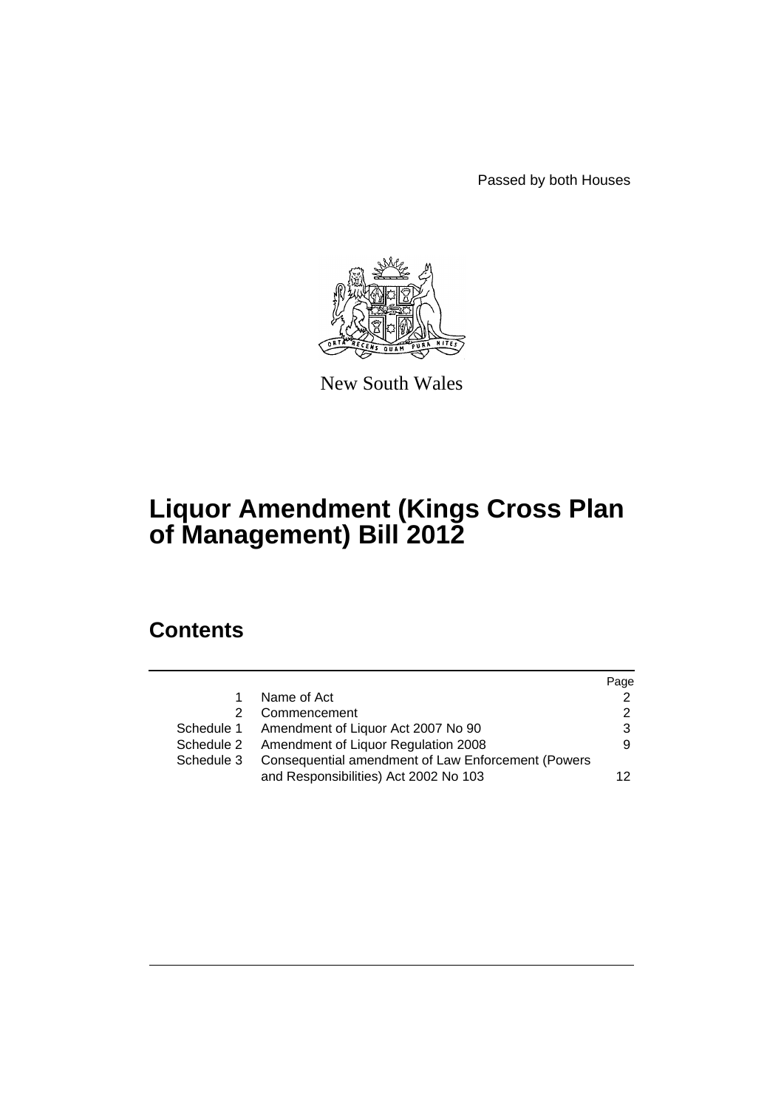Passed by both Houses



New South Wales

# **Liquor Amendment (Kings Cross Plan of Management) Bill 2012**

# **Contents**

|            |                                                    | Page            |
|------------|----------------------------------------------------|-----------------|
| 1.         | Name of Act                                        | $\mathcal{P}$   |
| 2.         | Commencement                                       | 2               |
|            | Schedule 1 Amendment of Liquor Act 2007 No 90      | 3               |
|            | Schedule 2 Amendment of Liquor Regulation 2008     | 9               |
| Schedule 3 | Consequential amendment of Law Enforcement (Powers |                 |
|            | and Responsibilities) Act 2002 No 103              | 12 <sub>1</sub> |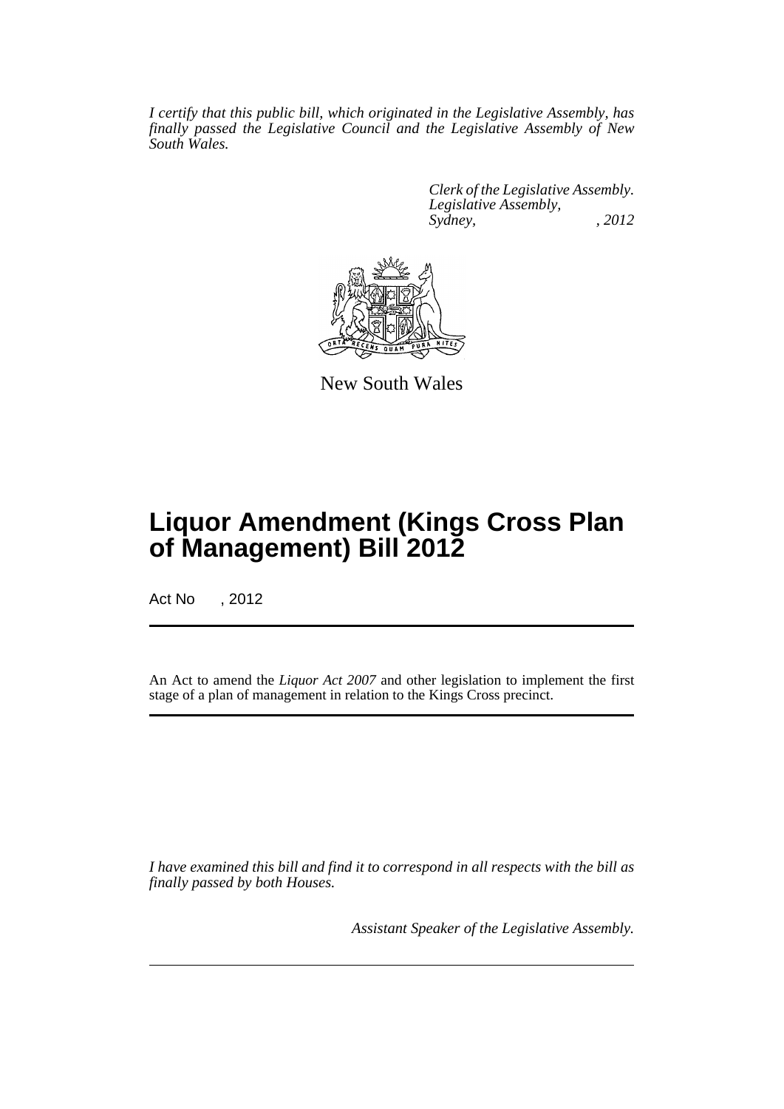*I certify that this public bill, which originated in the Legislative Assembly, has finally passed the Legislative Council and the Legislative Assembly of New South Wales.*

> *Clerk of the Legislative Assembly. Legislative Assembly, Sydney, , 2012*



New South Wales

# **Liquor Amendment (Kings Cross Plan of Management) Bill 2012**

Act No , 2012

An Act to amend the *Liquor Act 2007* and other legislation to implement the first stage of a plan of management in relation to the Kings Cross precinct.

*I have examined this bill and find it to correspond in all respects with the bill as finally passed by both Houses.*

*Assistant Speaker of the Legislative Assembly.*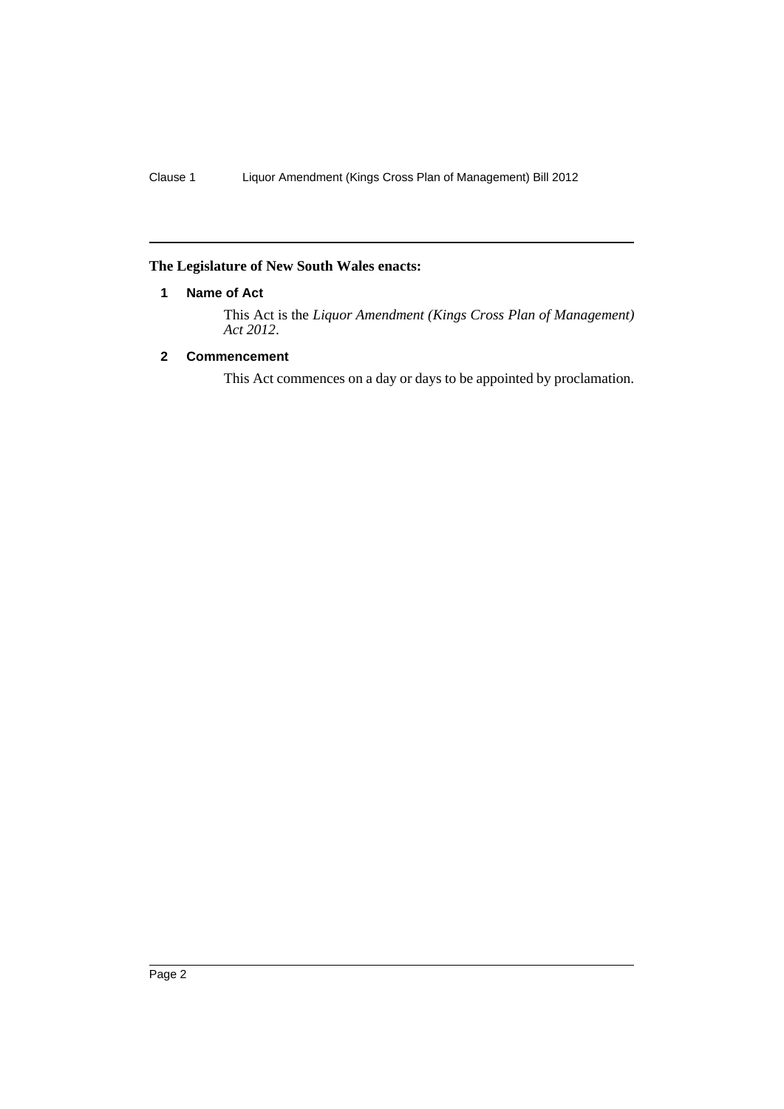# <span id="page-3-0"></span>**The Legislature of New South Wales enacts:**

# **1 Name of Act**

This Act is the *Liquor Amendment (Kings Cross Plan of Management) Act 2012*.

# <span id="page-3-1"></span>**2 Commencement**

This Act commences on a day or days to be appointed by proclamation.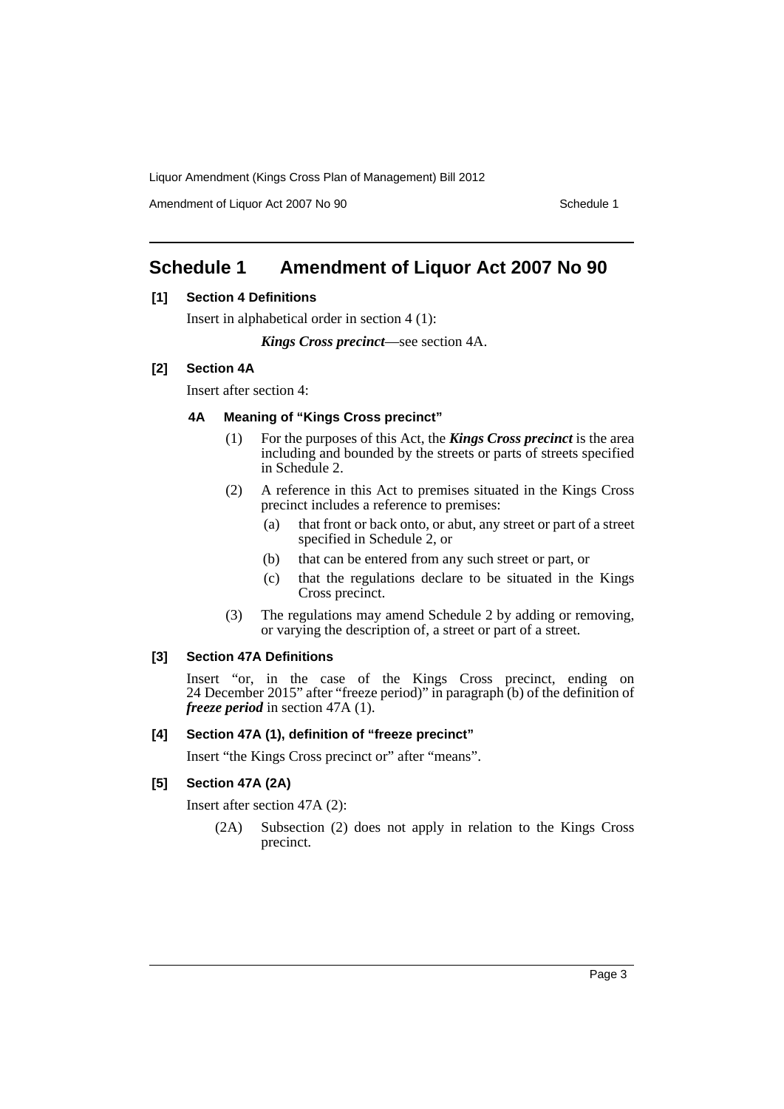Amendment of Liquor Act 2007 No 90 Schedule 1

# <span id="page-4-0"></span>**Schedule 1 Amendment of Liquor Act 2007 No 90**

# **[1] Section 4 Definitions**

Insert in alphabetical order in section 4 (1):

*Kings Cross precinct*—see section 4A.

### **[2] Section 4A**

Insert after section 4:

### **4A Meaning of "Kings Cross precinct"**

- (1) For the purposes of this Act, the *Kings Cross precinct* is the area including and bounded by the streets or parts of streets specified in Schedule 2.
- (2) A reference in this Act to premises situated in the Kings Cross precinct includes a reference to premises:
	- (a) that front or back onto, or abut, any street or part of a street specified in Schedule 2, or
	- (b) that can be entered from any such street or part, or
	- (c) that the regulations declare to be situated in the Kings Cross precinct.
- (3) The regulations may amend Schedule 2 by adding or removing, or varying the description of, a street or part of a street.

### **[3] Section 47A Definitions**

Insert "or, in the case of the Kings Cross precinct, ending on 24 December 2015" after "freeze period)" in paragraph (b) of the definition of *freeze period* in section 47A (1).

### **[4] Section 47A (1), definition of "freeze precinct"**

Insert "the Kings Cross precinct or" after "means".

### **[5] Section 47A (2A)**

Insert after section 47A (2):

(2A) Subsection (2) does not apply in relation to the Kings Cross precinct.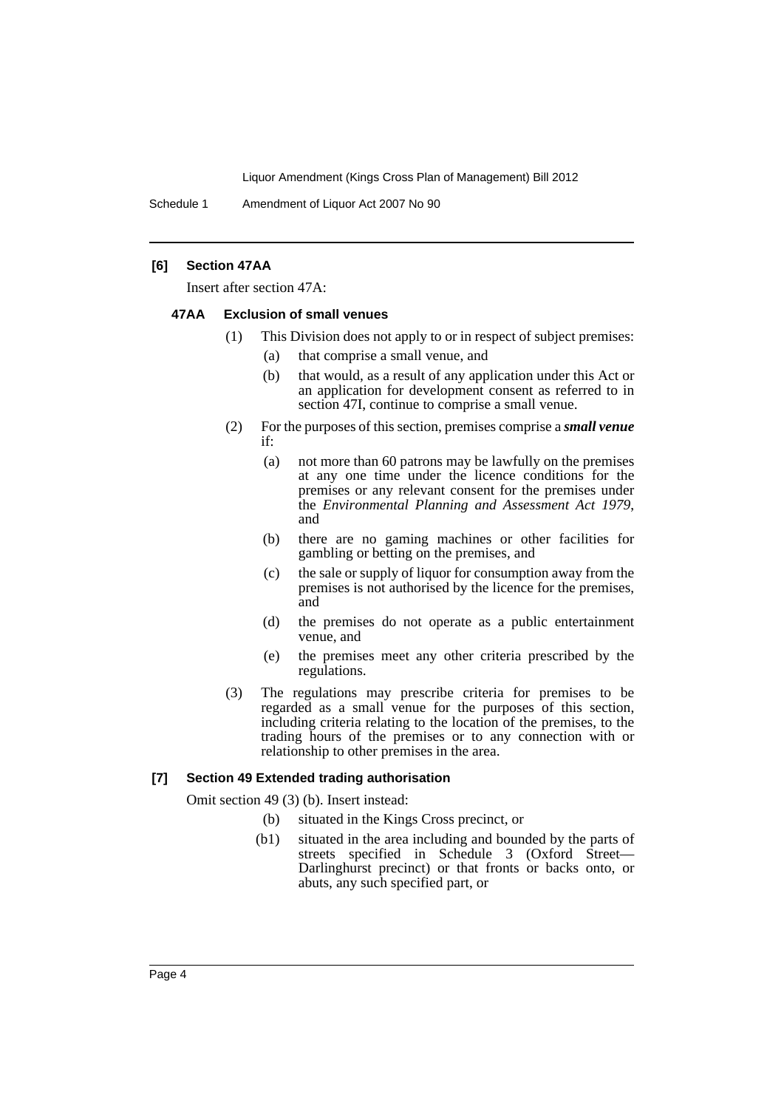Schedule 1 Amendment of Liquor Act 2007 No 90

## **[6] Section 47AA**

Insert after section 47A:

#### **47AA Exclusion of small venues**

- (1) This Division does not apply to or in respect of subject premises:
	- (a) that comprise a small venue, and
	- (b) that would, as a result of any application under this Act or an application for development consent as referred to in section 47I, continue to comprise a small venue.
- (2) For the purposes of this section, premises comprise a *small venue* if:
	- (a) not more than 60 patrons may be lawfully on the premises at any one time under the licence conditions for the premises or any relevant consent for the premises under the *Environmental Planning and Assessment Act 1979*, and
	- (b) there are no gaming machines or other facilities for gambling or betting on the premises, and
	- (c) the sale or supply of liquor for consumption away from the premises is not authorised by the licence for the premises, and
	- (d) the premises do not operate as a public entertainment venue, and
	- (e) the premises meet any other criteria prescribed by the regulations.
- (3) The regulations may prescribe criteria for premises to be regarded as a small venue for the purposes of this section, including criteria relating to the location of the premises, to the trading hours of the premises or to any connection with or relationship to other premises in the area.

#### **[7] Section 49 Extended trading authorisation**

Omit section 49 (3) (b). Insert instead:

- (b) situated in the Kings Cross precinct, or
- (b1) situated in the area including and bounded by the parts of streets specified in Schedule 3 (Oxford Street— Darlinghurst precinct) or that fronts or backs onto, or abuts, any such specified part, or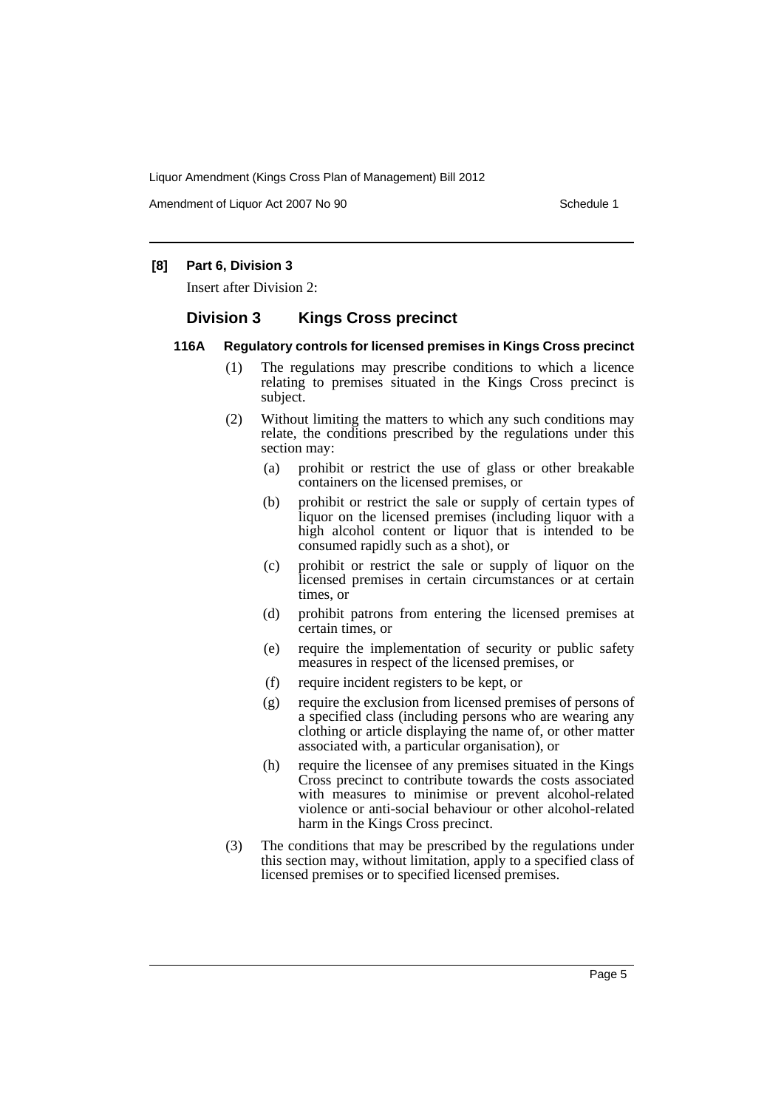Amendment of Liquor Act 2007 No 90 Schedule 1

## **[8] Part 6, Division 3**

Insert after Division 2:

# **Division 3 Kings Cross precinct**

#### **116A Regulatory controls for licensed premises in Kings Cross precinct**

- (1) The regulations may prescribe conditions to which a licence relating to premises situated in the Kings Cross precinct is subject.
- (2) Without limiting the matters to which any such conditions may relate, the conditions prescribed by the regulations under this section may:
	- (a) prohibit or restrict the use of glass or other breakable containers on the licensed premises, or
	- (b) prohibit or restrict the sale or supply of certain types of liquor on the licensed premises (including liquor with a high alcohol content or liquor that is intended to be consumed rapidly such as a shot), or
	- (c) prohibit or restrict the sale or supply of liquor on the licensed premises in certain circumstances or at certain times, or
	- (d) prohibit patrons from entering the licensed premises at certain times, or
	- (e) require the implementation of security or public safety measures in respect of the licensed premises, or
	- (f) require incident registers to be kept, or
	- (g) require the exclusion from licensed premises of persons of a specified class (including persons who are wearing any clothing or article displaying the name of, or other matter associated with, a particular organisation), or
	- (h) require the licensee of any premises situated in the Kings Cross precinct to contribute towards the costs associated with measures to minimise or prevent alcohol-related violence or anti-social behaviour or other alcohol-related harm in the Kings Cross precinct.
- (3) The conditions that may be prescribed by the regulations under this section may, without limitation, apply to a specified class of licensed premises or to specified licensed premises.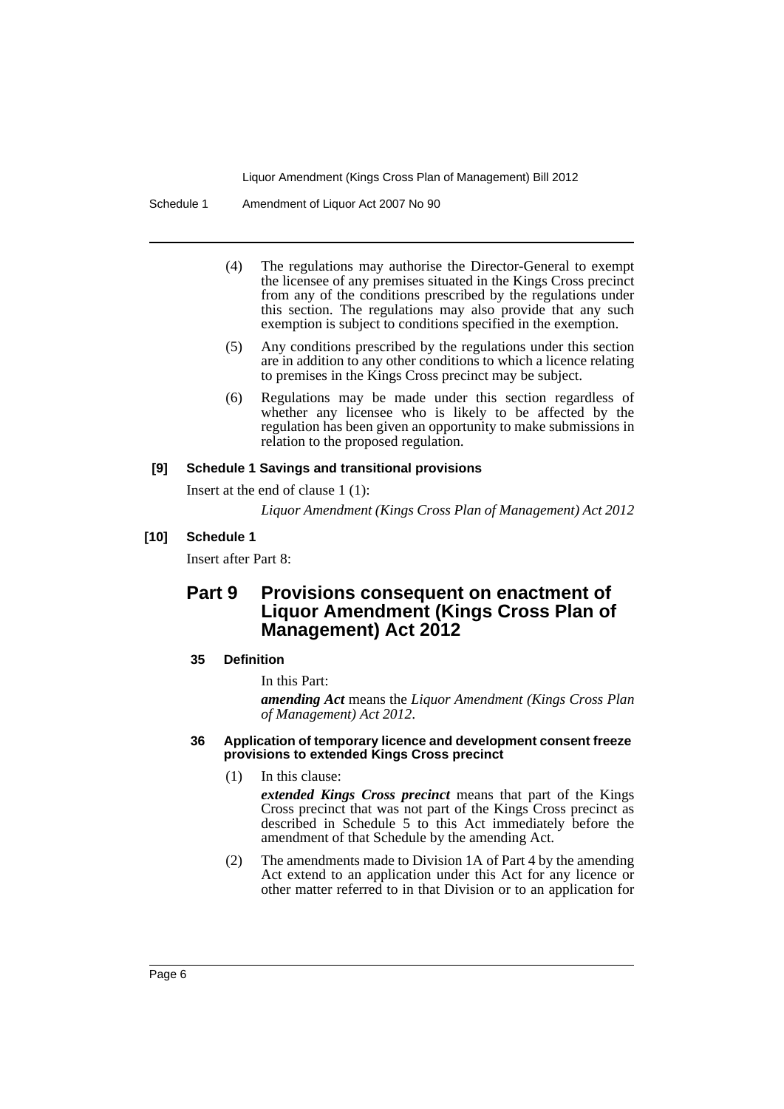Schedule 1 Amendment of Liquor Act 2007 No 90

- (4) The regulations may authorise the Director-General to exempt the licensee of any premises situated in the Kings Cross precinct from any of the conditions prescribed by the regulations under this section. The regulations may also provide that any such exemption is subject to conditions specified in the exemption.
- (5) Any conditions prescribed by the regulations under this section are in addition to any other conditions to which a licence relating to premises in the Kings Cross precinct may be subject.
- (6) Regulations may be made under this section regardless of whether any licensee who is likely to be affected by the regulation has been given an opportunity to make submissions in relation to the proposed regulation.

# **[9] Schedule 1 Savings and transitional provisions**

Insert at the end of clause 1 (1):

*Liquor Amendment (Kings Cross Plan of Management) Act 2012*

# **[10] Schedule 1**

Insert after Part 8:

# **Part 9 Provisions consequent on enactment of Liquor Amendment (Kings Cross Plan of Management) Act 2012**

# **35 Definition**

In this Part:

*amending Act* means the *Liquor Amendment (Kings Cross Plan of Management) Act 2012*.

#### **36 Application of temporary licence and development consent freeze provisions to extended Kings Cross precinct**

(1) In this clause:

*extended Kings Cross precinct* means that part of the Kings Cross precinct that was not part of the Kings Cross precinct as described in Schedule 5 to this Act immediately before the amendment of that Schedule by the amending Act.

(2) The amendments made to Division 1A of Part 4 by the amending Act extend to an application under this Act for any licence or other matter referred to in that Division or to an application for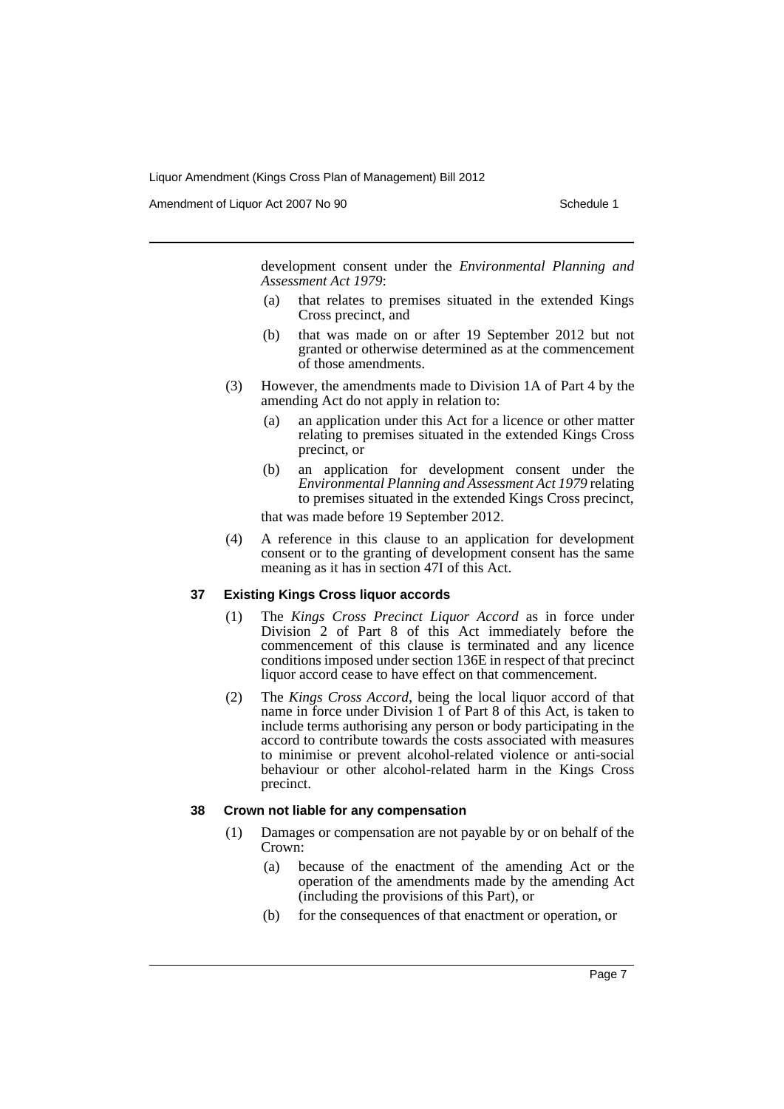Amendment of Liquor Act 2007 No 90 Schedule 1

development consent under the *Environmental Planning and Assessment Act 1979*:

- (a) that relates to premises situated in the extended Kings Cross precinct, and
- (b) that was made on or after 19 September 2012 but not granted or otherwise determined as at the commencement of those amendments.
- (3) However, the amendments made to Division 1A of Part 4 by the amending Act do not apply in relation to:
	- (a) an application under this Act for a licence or other matter relating to premises situated in the extended Kings Cross precinct, or
	- (b) an application for development consent under the *Environmental Planning and Assessment Act 1979* relating to premises situated in the extended Kings Cross precinct,

that was made before 19 September 2012.

(4) A reference in this clause to an application for development consent or to the granting of development consent has the same meaning as it has in section 47I of this Act.

### **37 Existing Kings Cross liquor accords**

- (1) The *Kings Cross Precinct Liquor Accord* as in force under Division 2 of Part 8 of this Act immediately before the commencement of this clause is terminated and any licence conditions imposed under section 136E in respect of that precinct liquor accord cease to have effect on that commencement.
- (2) The *Kings Cross Accord*, being the local liquor accord of that name in force under Division 1 of Part 8 of this Act, is taken to include terms authorising any person or body participating in the accord to contribute towards the costs associated with measures to minimise or prevent alcohol-related violence or anti-social behaviour or other alcohol-related harm in the Kings Cross precinct.

### **38 Crown not liable for any compensation**

- (1) Damages or compensation are not payable by or on behalf of the Crown:
	- (a) because of the enactment of the amending Act or the operation of the amendments made by the amending Act (including the provisions of this Part), or
	- (b) for the consequences of that enactment or operation, or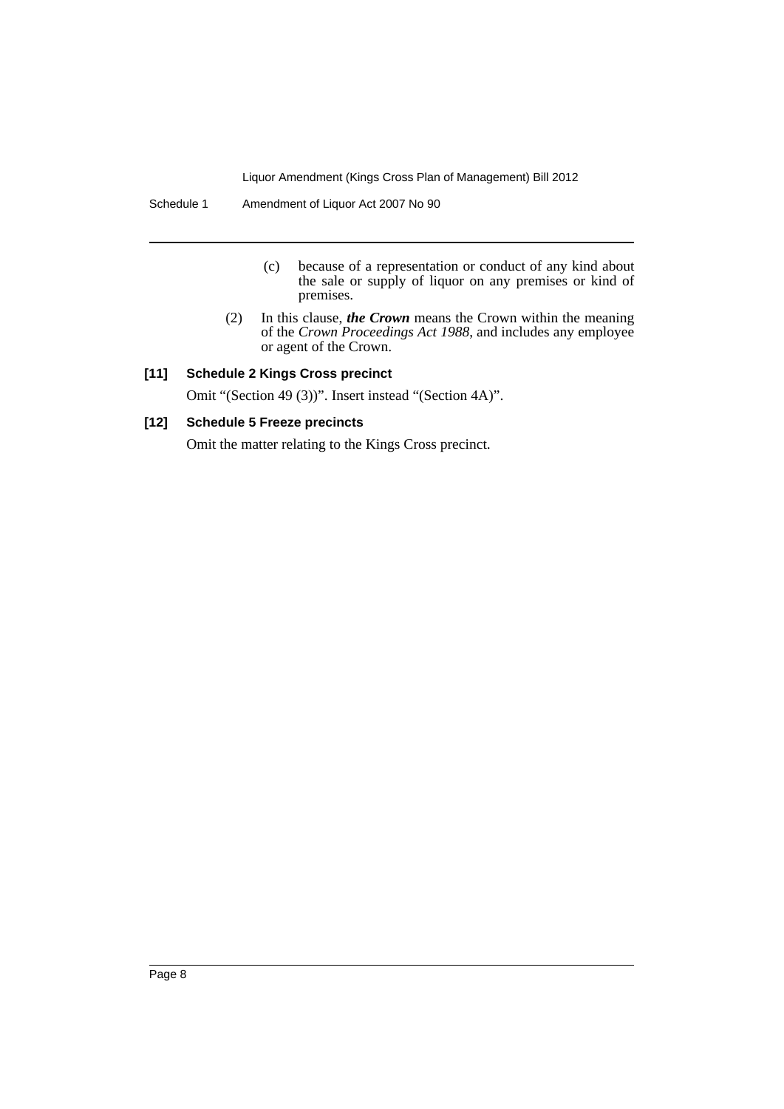Schedule 1 Amendment of Liquor Act 2007 No 90

- (c) because of a representation or conduct of any kind about the sale or supply of liquor on any premises or kind of premises.
- (2) In this clause, *the Crown* means the Crown within the meaning of the *Crown Proceedings Act 1988*, and includes any employee or agent of the Crown.

# **[11] Schedule 2 Kings Cross precinct**

Omit "(Section 49 (3))". Insert instead "(Section 4A)".

## **[12] Schedule 5 Freeze precincts**

Omit the matter relating to the Kings Cross precinct.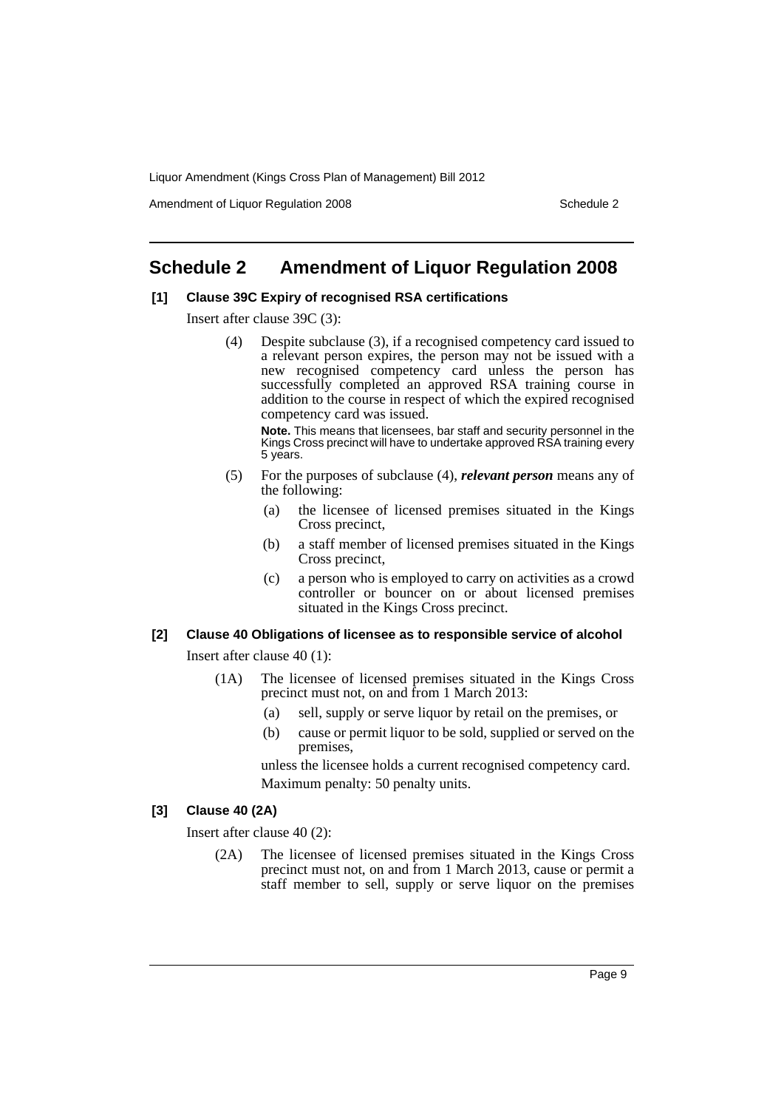Amendment of Liquor Regulation 2008 Schedule 2

# <span id="page-10-0"></span>**Schedule 2 Amendment of Liquor Regulation 2008**

## **[1] Clause 39C Expiry of recognised RSA certifications**

Insert after clause 39C (3):

(4) Despite subclause (3), if a recognised competency card issued to a relevant person expires, the person may not be issued with a new recognised competency card unless the person has successfully completed an approved RSA training course in addition to the course in respect of which the expired recognised competency card was issued.

**Note.** This means that licensees, bar staff and security personnel in the Kings Cross precinct will have to undertake approved RSA training every 5 years.

- (5) For the purposes of subclause (4), *relevant person* means any of the following:
	- (a) the licensee of licensed premises situated in the Kings Cross precinct,
	- (b) a staff member of licensed premises situated in the Kings Cross precinct,
	- (c) a person who is employed to carry on activities as a crowd controller or bouncer on or about licensed premises situated in the Kings Cross precinct.

# **[2] Clause 40 Obligations of licensee as to responsible service of alcohol**

Insert after clause 40 (1):

- (1A) The licensee of licensed premises situated in the Kings Cross precinct must not, on and from 1 March 2013:
	- (a) sell, supply or serve liquor by retail on the premises, or
	- (b) cause or permit liquor to be sold, supplied or served on the premises,

unless the licensee holds a current recognised competency card. Maximum penalty: 50 penalty units.

# **[3] Clause 40 (2A)**

Insert after clause 40 (2):

(2A) The licensee of licensed premises situated in the Kings Cross precinct must not, on and from 1 March 2013, cause or permit a staff member to sell, supply or serve liquor on the premises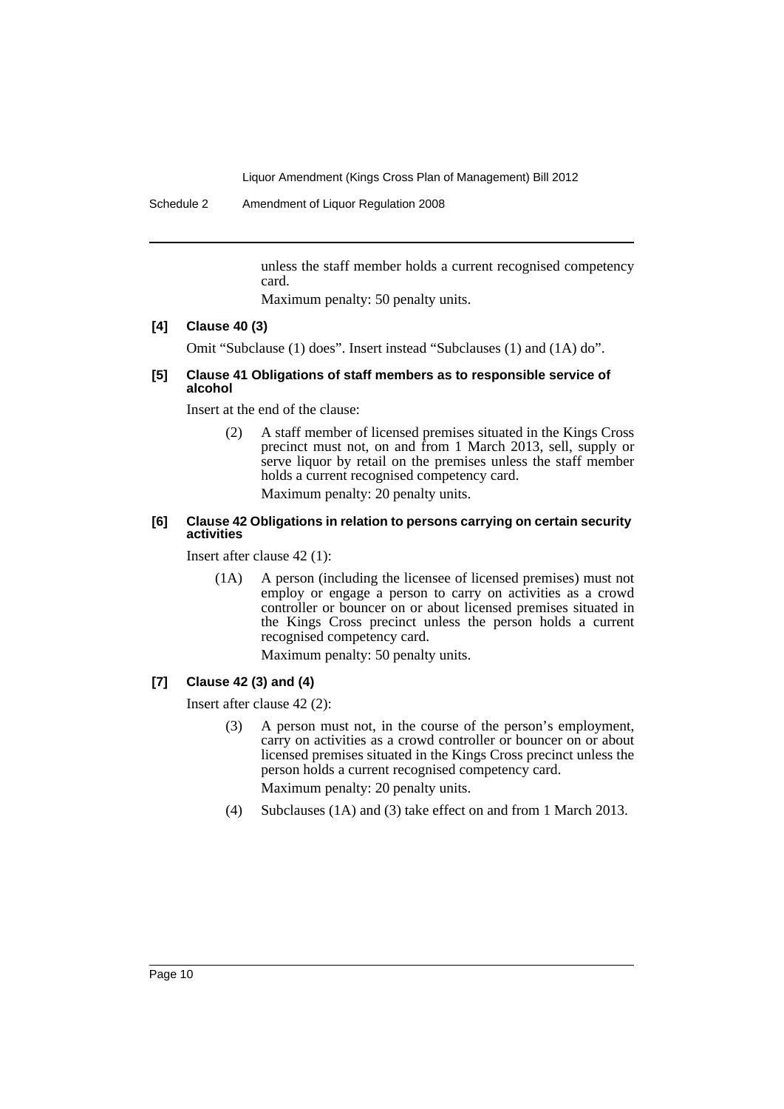Schedule 2 Amendment of Liquor Regulation 2008

unless the staff member holds a current recognised competency card.

Maximum penalty: 50 penalty units.

## **[4] Clause 40 (3)**

Omit "Subclause (1) does". Insert instead "Subclauses (1) and (1A) do".

### **[5] Clause 41 Obligations of staff members as to responsible service of alcohol**

Insert at the end of the clause:

(2) A staff member of licensed premises situated in the Kings Cross precinct must not, on and from 1 March 2013, sell, supply or serve liquor by retail on the premises unless the staff member holds a current recognised competency card. Maximum penalty: 20 penalty units.

### **[6] Clause 42 Obligations in relation to persons carrying on certain security activities**

Insert after clause 42 (1):

(1A) A person (including the licensee of licensed premises) must not employ or engage a person to carry on activities as a crowd controller or bouncer on or about licensed premises situated in the Kings Cross precinct unless the person holds a current recognised competency card.

Maximum penalty: 50 penalty units.

### **[7] Clause 42 (3) and (4)**

Insert after clause 42 (2):

(3) A person must not, in the course of the person's employment, carry on activities as a crowd controller or bouncer on or about licensed premises situated in the Kings Cross precinct unless the person holds a current recognised competency card.

Maximum penalty: 20 penalty units.

(4) Subclauses (1A) and (3) take effect on and from 1 March 2013.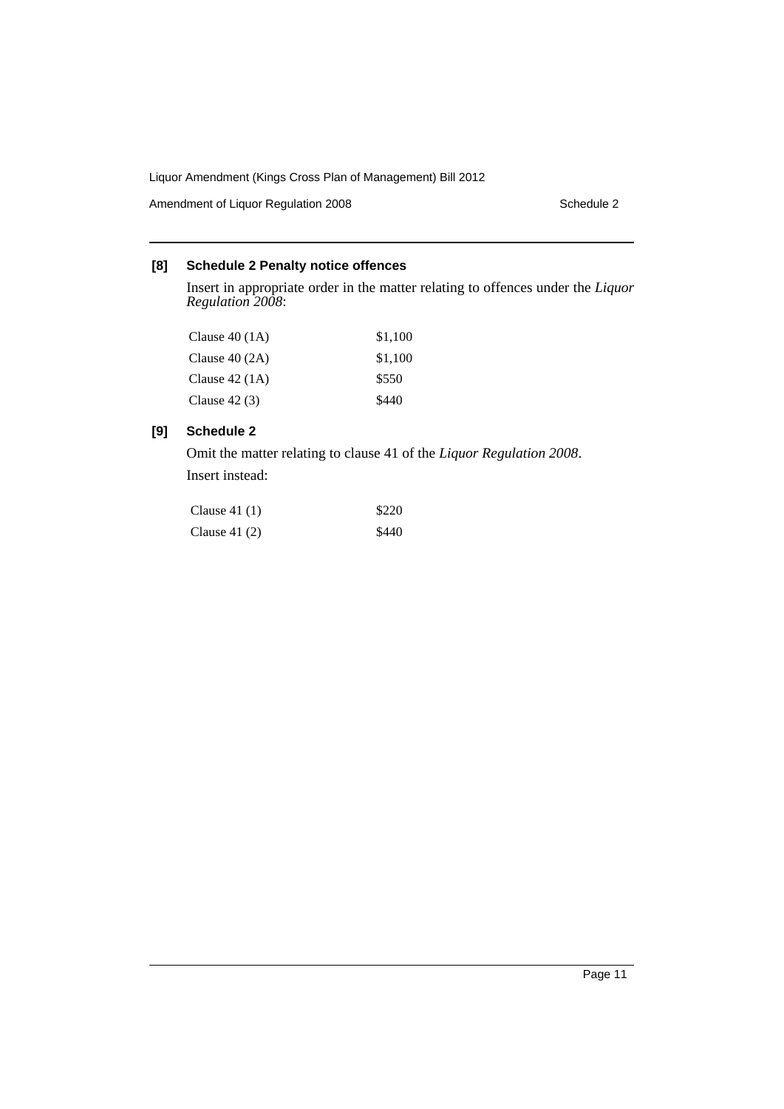Amendment of Liquor Regulation 2008 Schedule 2

# **[8] Schedule 2 Penalty notice offences**

Insert in appropriate order in the matter relating to offences under the *Liquor Regulation 2008*:

| Clause $40(1A)$ | \$1.100 |
|-----------------|---------|
| Clause $40(2A)$ | \$1,100 |
| Clause $42(1A)$ | \$550   |
| Clause $42(3)$  | \$440   |

# **[9] Schedule 2**

Omit the matter relating to clause 41 of the *Liquor Regulation 2008*. Insert instead:

| Clause $41(1)$ | \$220 |
|----------------|-------|
| Clause $41(2)$ | \$440 |